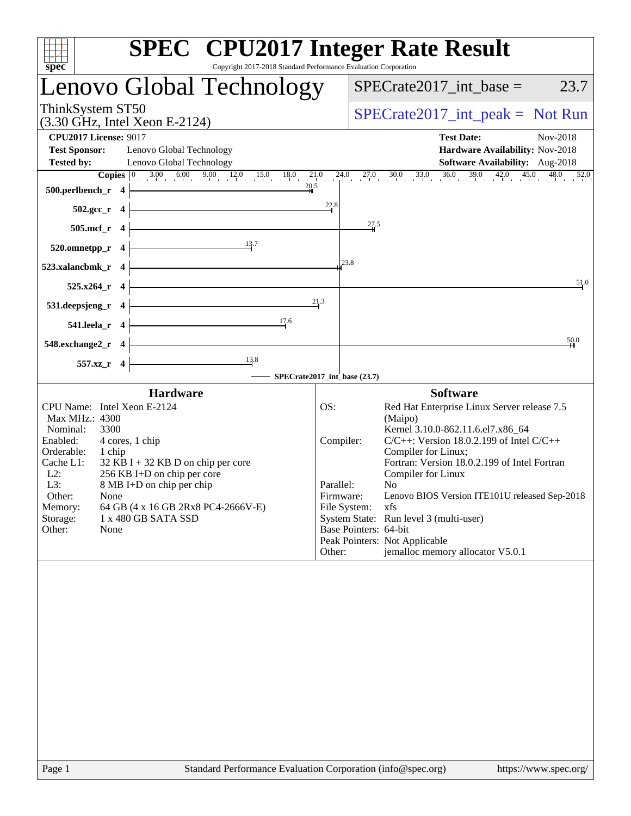| spec <sup>®</sup><br>Copyright 2017-2018 Standard Performance Evaluation Corporation                                                                                                                                                                                                                                                                                               | <b>SPEC<sup>®</sup></b> CPU2017 Integer Rate Result                                                                                                                                                                                                                                                                                                                                                                                                                                                                                 |
|------------------------------------------------------------------------------------------------------------------------------------------------------------------------------------------------------------------------------------------------------------------------------------------------------------------------------------------------------------------------------------|-------------------------------------------------------------------------------------------------------------------------------------------------------------------------------------------------------------------------------------------------------------------------------------------------------------------------------------------------------------------------------------------------------------------------------------------------------------------------------------------------------------------------------------|
| Lenovo Global Technology                                                                                                                                                                                                                                                                                                                                                           | $SPECrate2017\_int\_base =$<br>23.7                                                                                                                                                                                                                                                                                                                                                                                                                                                                                                 |
| ThinkSystem ST50<br>$(3.30 \text{ GHz}, \text{Intel Xeon E-2124})$                                                                                                                                                                                                                                                                                                                 | $SPECrate2017\_int\_peak = Not Run$                                                                                                                                                                                                                                                                                                                                                                                                                                                                                                 |
| <b>CPU2017 License: 9017</b><br><b>Test Sponsor:</b><br>Lenovo Global Technology<br><b>Tested by:</b><br>Lenovo Global Technology                                                                                                                                                                                                                                                  | <b>Test Date:</b><br>Nov-2018<br>Hardware Availability: Nov-2018<br>Software Availability: Aug-2018                                                                                                                                                                                                                                                                                                                                                                                                                                 |
|                                                                                                                                                                                                                                                                                                                                                                                    | <b>Copies</b> $\begin{bmatrix} 0 & 3.00 & 6.00 & 9.00 & 12.0 & 15.0 & 18.0 & 21.0 & 24.0 & 27.0 & 30.0 & 33.0 & 36.0 & 39.0 & 42.0 & 45.0 & 48.0 & 52.0 \end{bmatrix}$                                                                                                                                                                                                                                                                                                                                                              |
| 20.5<br>500.perlbench_r 4                                                                                                                                                                                                                                                                                                                                                          |                                                                                                                                                                                                                                                                                                                                                                                                                                                                                                                                     |
| $502.\text{gcc}_r$ 4                                                                                                                                                                                                                                                                                                                                                               | 22.8                                                                                                                                                                                                                                                                                                                                                                                                                                                                                                                                |
| 505.mcf_r 4                                                                                                                                                                                                                                                                                                                                                                        | 27.5                                                                                                                                                                                                                                                                                                                                                                                                                                                                                                                                |
| 13.7<br>520.omnetpp_r 4                                                                                                                                                                                                                                                                                                                                                            |                                                                                                                                                                                                                                                                                                                                                                                                                                                                                                                                     |
| 523.xalancbmk_r 4                                                                                                                                                                                                                                                                                                                                                                  | 23.8                                                                                                                                                                                                                                                                                                                                                                                                                                                                                                                                |
| 525.x264_r 4                                                                                                                                                                                                                                                                                                                                                                       | 51.0                                                                                                                                                                                                                                                                                                                                                                                                                                                                                                                                |
| 531.deepsjeng_r 4                                                                                                                                                                                                                                                                                                                                                                  | 21,3                                                                                                                                                                                                                                                                                                                                                                                                                                                                                                                                |
| 17.6<br>541.leela_r 4                                                                                                                                                                                                                                                                                                                                                              |                                                                                                                                                                                                                                                                                                                                                                                                                                                                                                                                     |
| 548.exchange2_r 4                                                                                                                                                                                                                                                                                                                                                                  | 50.0                                                                                                                                                                                                                                                                                                                                                                                                                                                                                                                                |
| $\frac{13.8}{ }$<br>557.xz_r 4                                                                                                                                                                                                                                                                                                                                                     | SPECrate2017_int_base (23.7)                                                                                                                                                                                                                                                                                                                                                                                                                                                                                                        |
| <b>Hardware</b>                                                                                                                                                                                                                                                                                                                                                                    | <b>Software</b>                                                                                                                                                                                                                                                                                                                                                                                                                                                                                                                     |
| CPU Name: Intel Xeon E-2124<br>Max MHz.: 4300<br>Nominal:<br>3300<br>Enabled:<br>4 cores, 1 chip<br>Orderable:<br>1 chip<br>$32$ KB I + 32 KB D on chip per core<br>Cache L1:<br>256 KB I+D on chip per core<br>$L2$ :<br>L3:<br>8 MB I+D on chip per chip<br>Other:<br>None<br>Memory:<br>64 GB (4 x 16 GB 2Rx8 PC4-2666V-E)<br>Storage:<br>1 x 480 GB SATA SSD<br>Other:<br>None | OS:<br>Red Hat Enterprise Linux Server release 7.5<br>(Maipo)<br>Kernel 3.10.0-862.11.6.el7.x86 64<br>$C/C++$ : Version 18.0.2.199 of Intel $C/C++$<br>Compiler:<br>Compiler for Linux;<br>Fortran: Version 18.0.2.199 of Intel Fortran<br>Compiler for Linux<br>Parallel:<br>N <sub>0</sub><br>Lenovo BIOS Version ITE101U released Sep-2018<br>Firmware:<br>File System:<br>xfs<br>System State: Run level 3 (multi-user)<br>Base Pointers: 64-bit<br>Peak Pointers: Not Applicable<br>jemalloc memory allocator V5.0.1<br>Other: |
| Page 1                                                                                                                                                                                                                                                                                                                                                                             | Standard Performance Evaluation Corporation (info@spec.org)<br>https://www.spec.org/                                                                                                                                                                                                                                                                                                                                                                                                                                                |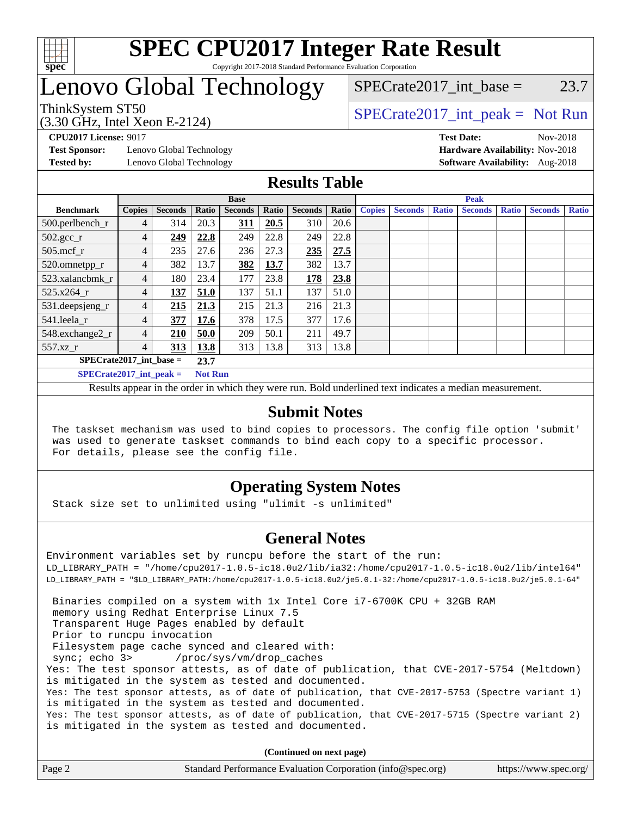

## Lenovo Global Technology

## $SPECTate2017\_int\_base = 23.7$

(3.30 GHz, Intel Xeon E-2124)

ThinkSystem ST50  $SPECrate2017$ \_int\_peak = Not Run

**[Test Sponsor:](http://www.spec.org/auto/cpu2017/Docs/result-fields.html#TestSponsor)** Lenovo Global Technology **[Hardware Availability:](http://www.spec.org/auto/cpu2017/Docs/result-fields.html#HardwareAvailability)** Nov-2018

**[CPU2017 License:](http://www.spec.org/auto/cpu2017/Docs/result-fields.html#CPU2017License)** 9017 **[Test Date:](http://www.spec.org/auto/cpu2017/Docs/result-fields.html#TestDate)** Nov-2018 **[Tested by:](http://www.spec.org/auto/cpu2017/Docs/result-fields.html#Testedby)** Lenovo Global Technology **[Software Availability:](http://www.spec.org/auto/cpu2017/Docs/result-fields.html#SoftwareAvailability)** Aug-2018

### **[Results Table](http://www.spec.org/auto/cpu2017/Docs/result-fields.html#ResultsTable)**

|                           |                |                |       | <b>Base</b>    |       |                |       | <b>Peak</b>   |                |              |                |              |                |              |
|---------------------------|----------------|----------------|-------|----------------|-------|----------------|-------|---------------|----------------|--------------|----------------|--------------|----------------|--------------|
| <b>Benchmark</b>          | <b>Copies</b>  | <b>Seconds</b> | Ratio | <b>Seconds</b> | Ratio | <b>Seconds</b> | Ratio | <b>Copies</b> | <b>Seconds</b> | <b>Ratio</b> | <b>Seconds</b> | <b>Ratio</b> | <b>Seconds</b> | <b>Ratio</b> |
| 500.perlbench_r           | 4              | 314            | 20.3  | 311            | 20.5  | 310            | 20.6  |               |                |              |                |              |                |              |
| $502.\text{gcc\_r}$       | 4              | 249            | 22.8  | 249            | 22.8  | 249            | 22.8  |               |                |              |                |              |                |              |
| 505.mcf r                 | $\overline{4}$ | 235            | 27.6  | 236            | 27.3  | 235            | 27.5  |               |                |              |                |              |                |              |
| 520.omnetpp_r             | 4              | 382            | 13.7  | 382            | 13.7  | 382            | 13.7  |               |                |              |                |              |                |              |
| 523.xalancbmk_r           | $\overline{4}$ | 180            | 23.4  | 177            | 23.8  | 178            | 23.8  |               |                |              |                |              |                |              |
| 525.x264 r                | $\overline{4}$ | 137            | 51.0  | 137            | 51.1  | 137            | 51.0  |               |                |              |                |              |                |              |
| 531.deepsjeng_r           | 4              | 215            | 21.3  | 215            | 21.3  | 216            | 21.3  |               |                |              |                |              |                |              |
| 541.leela r               | $\overline{4}$ | 377            | 17.6  | 378            | 17.5  | 377            | 17.6  |               |                |              |                |              |                |              |
| 548.exchange2_r           | 4              | 210            | 50.0  | 209            | 50.1  | 211            | 49.7  |               |                |              |                |              |                |              |
| $557.xz$ _r               | 4              | 313            | 13.8  | 313            | 13.8  | 313            | 13.8  |               |                |              |                |              |                |              |
| $SPECrate2017$ int base = | 23.7           |                |       |                |       |                |       |               |                |              |                |              |                |              |
| $SPECrate2017$ int peak = | <b>Not Run</b> |                |       |                |       |                |       |               |                |              |                |              |                |              |

Results appear in the [order in which they were run](http://www.spec.org/auto/cpu2017/Docs/result-fields.html#RunOrder). Bold underlined text [indicates a median measurement](http://www.spec.org/auto/cpu2017/Docs/result-fields.html#Median).

### **[Submit Notes](http://www.spec.org/auto/cpu2017/Docs/result-fields.html#SubmitNotes)**

 The taskset mechanism was used to bind copies to processors. The config file option 'submit' was used to generate taskset commands to bind each copy to a specific processor. For details, please see the config file.

### **[Operating System Notes](http://www.spec.org/auto/cpu2017/Docs/result-fields.html#OperatingSystemNotes)**

Stack size set to unlimited using "ulimit -s unlimited"

### **[General Notes](http://www.spec.org/auto/cpu2017/Docs/result-fields.html#GeneralNotes)**

Environment variables set by runcpu before the start of the run: LD\_LIBRARY\_PATH = "/home/cpu2017-1.0.5-ic18.0u2/lib/ia32:/home/cpu2017-1.0.5-ic18.0u2/lib/intel64" LD\_LIBRARY\_PATH = "\$LD\_LIBRARY\_PATH:/home/cpu2017-1.0.5-ic18.0u2/je5.0.1-32:/home/cpu2017-1.0.5-ic18.0u2/je5.0.1-64" Binaries compiled on a system with 1x Intel Core i7-6700K CPU + 32GB RAM memory using Redhat Enterprise Linux 7.5 Transparent Huge Pages enabled by default Prior to runcpu invocation Filesystem page cache synced and cleared with: sync; echo 3> /proc/sys/vm/drop\_caches Yes: The test sponsor attests, as of date of publication, that CVE-2017-5754 (Meltdown) is mitigated in the system as tested and documented. Yes: The test sponsor attests, as of date of publication, that CVE-2017-5753 (Spectre variant 1) is mitigated in the system as tested and documented. Yes: The test sponsor attests, as of date of publication, that CVE-2017-5715 (Spectre variant 2) is mitigated in the system as tested and documented.

**(Continued on next page)**

| Page 2<br>Standard Performance Evaluation Corporation (info@spec.org)<br>https://www.spec.org/ |
|------------------------------------------------------------------------------------------------|
|------------------------------------------------------------------------------------------------|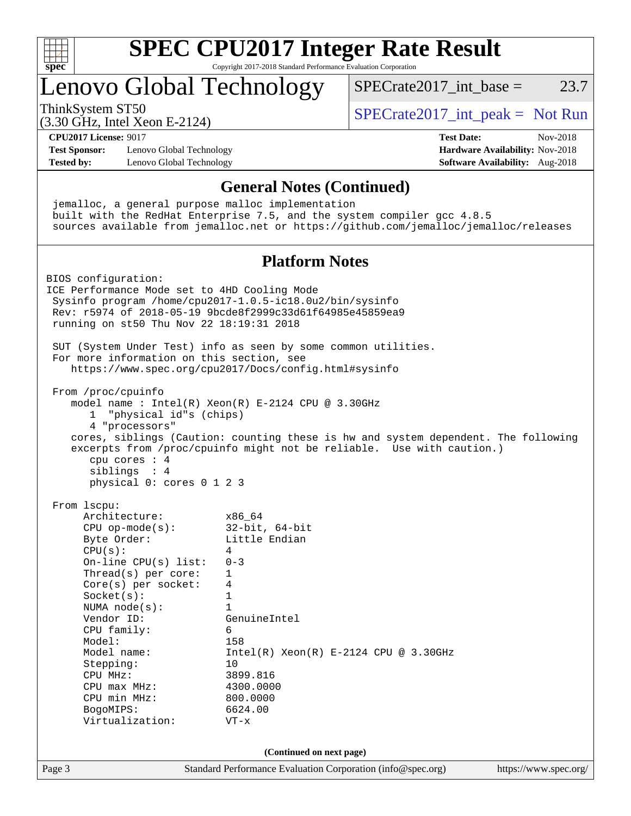

# **[SPEC CPU2017 Integer Rate Result](http://www.spec.org/auto/cpu2017/Docs/result-fields.html#SPECCPU2017IntegerRateResult)**

Copyright 2017-2018 Standard Performance Evaluation Corporation

## Lenovo Global Technology

ThinkSystem ST50  $SPECrate2017$ \_int\_peak = Not Run

SPECrate  $2017$  int base = 23.7

(3.30 GHz, Intel Xeon E-2124)

**[CPU2017 License:](http://www.spec.org/auto/cpu2017/Docs/result-fields.html#CPU2017License)** 9017 **[Test Date:](http://www.spec.org/auto/cpu2017/Docs/result-fields.html#TestDate)** Nov-2018 **[Test Sponsor:](http://www.spec.org/auto/cpu2017/Docs/result-fields.html#TestSponsor)** Lenovo Global Technology **[Hardware Availability:](http://www.spec.org/auto/cpu2017/Docs/result-fields.html#HardwareAvailability)** Nov-2018 **[Tested by:](http://www.spec.org/auto/cpu2017/Docs/result-fields.html#Testedby)** Lenovo Global Technology **[Software Availability:](http://www.spec.org/auto/cpu2017/Docs/result-fields.html#SoftwareAvailability)** Aug-2018

Page 3 Standard Performance Evaluation Corporation [\(info@spec.org\)](mailto:info@spec.org) <https://www.spec.org/> **[General Notes \(Continued\)](http://www.spec.org/auto/cpu2017/Docs/result-fields.html#GeneralNotes)** jemalloc, a general purpose malloc implementation built with the RedHat Enterprise 7.5, and the system compiler gcc 4.8.5 sources available from jemalloc.net or <https://github.com/jemalloc/jemalloc/releases> **[Platform Notes](http://www.spec.org/auto/cpu2017/Docs/result-fields.html#PlatformNotes)** BIOS configuration: ICE Performance Mode set to 4HD Cooling Mode Sysinfo program /home/cpu2017-1.0.5-ic18.0u2/bin/sysinfo Rev: r5974 of 2018-05-19 9bcde8f2999c33d61f64985e45859ea9 running on st50 Thu Nov 22 18:19:31 2018 SUT (System Under Test) info as seen by some common utilities. For more information on this section, see <https://www.spec.org/cpu2017/Docs/config.html#sysinfo> From /proc/cpuinfo model name : Intel(R) Xeon(R) E-2124 CPU @ 3.30GHz 1 "physical id"s (chips) 4 "processors" cores, siblings (Caution: counting these is hw and system dependent. The following excerpts from /proc/cpuinfo might not be reliable. Use with caution.) cpu cores : 4 siblings : 4 physical 0: cores 0 1 2 3 From lscpu: Architecture: x86\_64 CPU op-mode(s): 32-bit, 64-bit Byte Order: Little Endian  $CPU(s):$  4 On-line CPU(s) list: 0-3 Thread(s) per core: 1 Core(s) per socket: 4 Socket(s): 1 NUMA node(s): 1 Vendor ID: GenuineIntel CPU family: 6 Model: 158 Model name: Intel(R) Xeon(R) E-2124 CPU @ 3.30GHz Stepping: 10 CPU MHz: 3899.816 CPU max MHz: 4300.0000 CPU min MHz: 800.0000 BogoMIPS: 6624.00 Virtualization: VT-x **(Continued on next page)**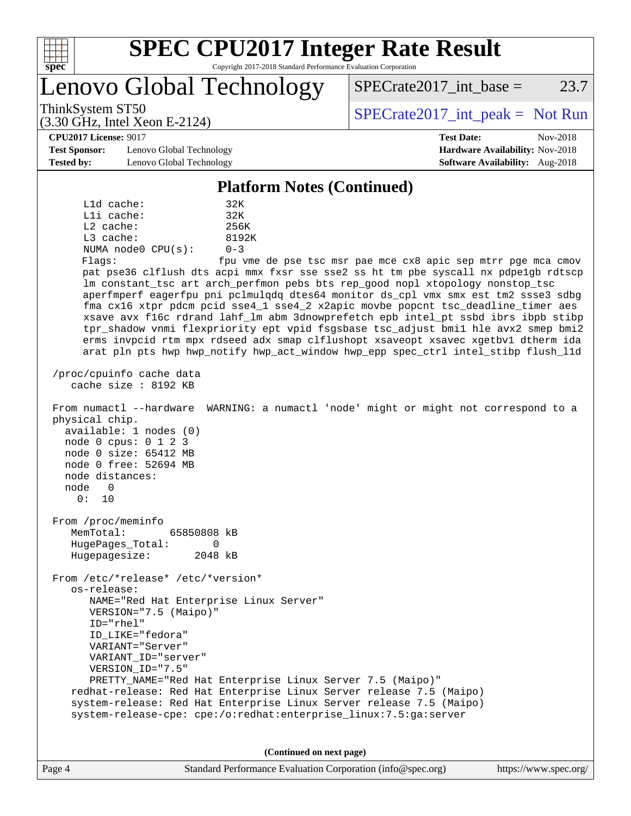

Lenovo Global Technology

ThinkSystem ST50  $SPECrate2017$ \_int\_peak = Not Run

**[Hardware Availability:](http://www.spec.org/auto/cpu2017/Docs/result-fields.html#HardwareAvailability)** Nov-2018 **[Software Availability:](http://www.spec.org/auto/cpu2017/Docs/result-fields.html#SoftwareAvailability)** Aug-2018

 $SPECTate2017\_int\_base = 23.7$ 

#### **[CPU2017 License:](http://www.spec.org/auto/cpu2017/Docs/result-fields.html#CPU2017License)** 9017 **[Test Date:](http://www.spec.org/auto/cpu2017/Docs/result-fields.html#TestDate)** Nov-2018

| <b>Test Sponsor:</b> | Lenovo Global Technology |
|----------------------|--------------------------|
| <b>Tested by:</b>    | Lenovo Global Technology |

(3.30 GHz, Intel Xeon E-2124)

#### **[Platform Notes \(Continued\)](http://www.spec.org/auto/cpu2017/Docs/result-fields.html#PlatformNotes)**

 L1d cache: 32K L1i cache: 32K L2 cache: 256K L3 cache: 8192K NUMA node0 CPU(s): 0-3 Flags: fpu vme de pse tsc msr pae mce cx8 apic sep mtrr pge mca cmov pat pse36 clflush dts acpi mmx fxsr sse sse2 ss ht tm pbe syscall nx pdpe1gb rdtscp lm constant\_tsc art arch\_perfmon pebs bts rep\_good nopl xtopology nonstop\_tsc aperfmperf eagerfpu pni pclmulqdq dtes64 monitor ds\_cpl vmx smx est tm2 ssse3 sdbg fma cx16 xtpr pdcm pcid sse4\_1 sse4\_2 x2apic movbe popcnt tsc\_deadline\_timer aes xsave avx f16c rdrand lahf\_lm abm 3dnowprefetch epb intel\_pt ssbd ibrs ibpb stibp tpr\_shadow vnmi flexpriority ept vpid fsgsbase tsc\_adjust bmi1 hle avx2 smep bmi2 erms invpcid rtm mpx rdseed adx smap clflushopt xsaveopt xsavec xgetbv1 dtherm ida arat pln pts hwp hwp\_notify hwp\_act\_window hwp\_epp spec\_ctrl intel\_stibp flush\_l1d /proc/cpuinfo cache data cache size : 8192 KB From numactl --hardware WARNING: a numactl 'node' might or might not correspond to a physical chip. available: 1 nodes (0) node 0 cpus: 0 1 2 3 node 0 size: 65412 MB node 0 free: 52694 MB node distances: node 0 0: 10 From /proc/meminfo MemTotal: 65850808 kB HugePages\_Total: 0 Hugepagesize: 2048 kB From /etc/\*release\* /etc/\*version\* os-release: NAME="Red Hat Enterprise Linux Server" VERSION="7.5 (Maipo)" ID="rhel" ID\_LIKE="fedora" VARIANT="Server" VARIANT\_ID="server" VERSION\_ID="7.5" PRETTY\_NAME="Red Hat Enterprise Linux Server 7.5 (Maipo)" redhat-release: Red Hat Enterprise Linux Server release 7.5 (Maipo) system-release: Red Hat Enterprise Linux Server release 7.5 (Maipo) system-release-cpe: cpe:/o:redhat:enterprise\_linux:7.5:ga:server **(Continued on next page)**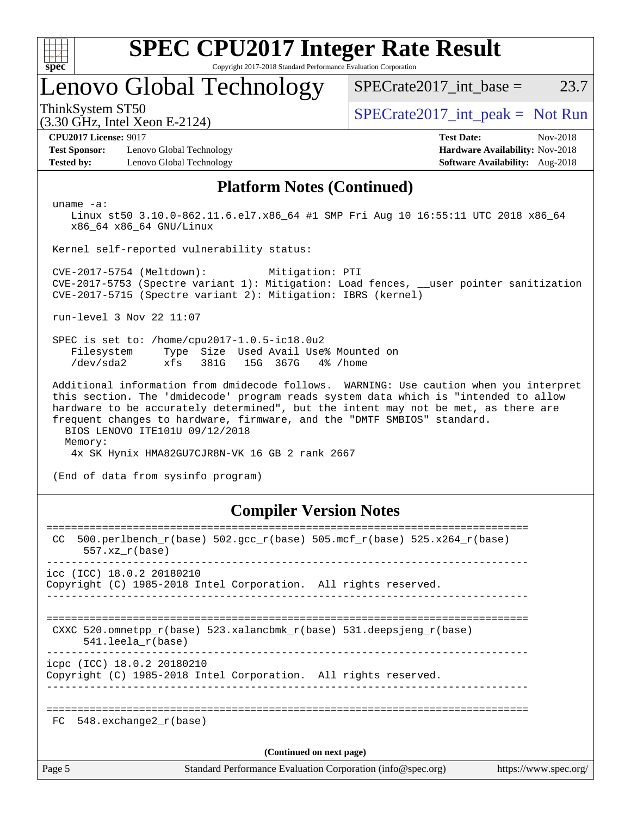

# **[SPEC CPU2017 Integer Rate Result](http://www.spec.org/auto/cpu2017/Docs/result-fields.html#SPECCPU2017IntegerRateResult)**

Copyright 2017-2018 Standard Performance Evaluation Corporation

## Lenovo Global Technology

ThinkSystem ST50  $SPECrate2017$ \_int\_peak = Not Run

(3.30 GHz, Intel Xeon E-2124)

 $SPECTate2017\_int\_base = 23.7$ 

**[Test Sponsor:](http://www.spec.org/auto/cpu2017/Docs/result-fields.html#TestSponsor)** Lenovo Global Technology **[Hardware Availability:](http://www.spec.org/auto/cpu2017/Docs/result-fields.html#HardwareAvailability)** Nov-2018 **[Tested by:](http://www.spec.org/auto/cpu2017/Docs/result-fields.html#Testedby)** Lenovo Global Technology **[Software Availability:](http://www.spec.org/auto/cpu2017/Docs/result-fields.html#SoftwareAvailability)** Aug-2018

**[CPU2017 License:](http://www.spec.org/auto/cpu2017/Docs/result-fields.html#CPU2017License)** 9017 **[Test Date:](http://www.spec.org/auto/cpu2017/Docs/result-fields.html#TestDate)** Nov-2018

### **[Platform Notes \(Continued\)](http://www.spec.org/auto/cpu2017/Docs/result-fields.html#PlatformNotes)**

uname -a:

 Linux st50 3.10.0-862.11.6.el7.x86\_64 #1 SMP Fri Aug 10 16:55:11 UTC 2018 x86\_64 x86\_64 x86\_64 GNU/Linux

Kernel self-reported vulnerability status:

 CVE-2017-5754 (Meltdown): Mitigation: PTI CVE-2017-5753 (Spectre variant 1): Mitigation: Load fences, \_\_user pointer sanitization CVE-2017-5715 (Spectre variant 2): Mitigation: IBRS (kernel)

run-level 3 Nov 22 11:07

 SPEC is set to: /home/cpu2017-1.0.5-ic18.0u2 Filesystem Type Size Used Avail Use% Mounted on /dev/sda2 xfs 381G 15G 367G 4% /home

 Additional information from dmidecode follows. WARNING: Use caution when you interpret this section. The 'dmidecode' program reads system data which is "intended to allow hardware to be accurately determined", but the intent may not be met, as there are frequent changes to hardware, firmware, and the "DMTF SMBIOS" standard. BIOS LENOVO ITE101U 09/12/2018

Memory:

4x SK Hynix HMA82GU7CJR8N-VK 16 GB 2 rank 2667

(End of data from sysinfo program)

#### **[Compiler Version Notes](http://www.spec.org/auto/cpu2017/Docs/result-fields.html#CompilerVersionNotes)**

| CC.                      | 500.perlbench_r(base) 502.gcc_r(base) 505.mcf_r(base) 525.x264_r(base)<br>$557.xx$ $r(base)$                                             |  |  |  |  |
|--------------------------|------------------------------------------------------------------------------------------------------------------------------------------|--|--|--|--|
|                          | $\text{icc}$ (ICC) 18.0.2 20180210<br>Copyright (C) 1985-2018 Intel Corporation. All rights reserved.                                    |  |  |  |  |
|                          | ----------------------------------<br>CXXC 520.omnetpp $r(base)$ 523.xalancbmk $r(base)$ 531.deepsjeng $r(base)$<br>$541.$ leela r(base) |  |  |  |  |
|                          | icpc (ICC) 18.0.2 20180210<br>Copyright (C) 1985-2018 Intel Corporation. All rights reserved.                                            |  |  |  |  |
| FC                       | 548.exchange2 r(base)                                                                                                                    |  |  |  |  |
| (Continued on next page) |                                                                                                                                          |  |  |  |  |
| Page 5                   | Standard Performance Evaluation Corporation (info@spec.org)<br>https://www.spec.org/                                                     |  |  |  |  |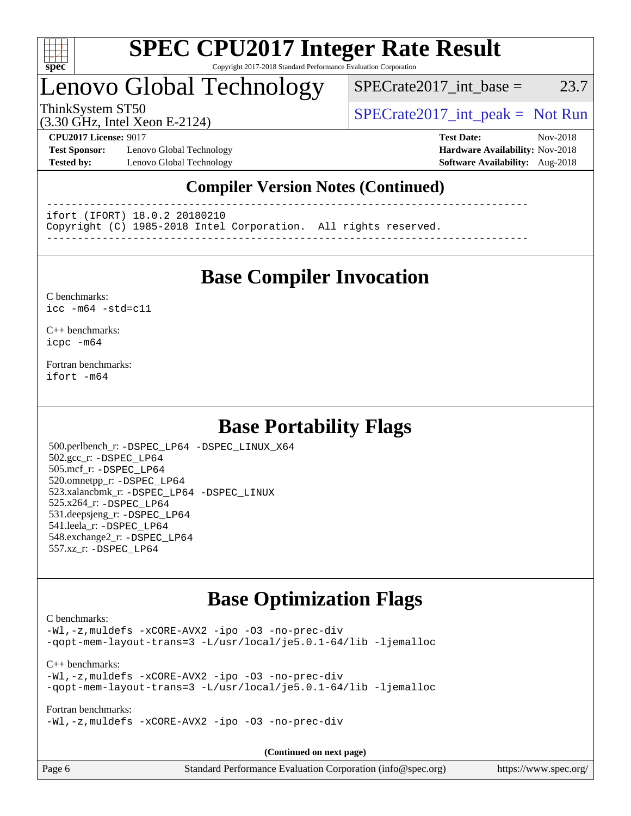

## Lenovo Global Technology

 $SPECTate2017\_int\_base = 23.7$ 

(3.30 GHz, Intel Xeon E-2124)

ThinkSystem ST50  $SPECrate2017$ \_int\_peak = Not Run

**[Test Sponsor:](http://www.spec.org/auto/cpu2017/Docs/result-fields.html#TestSponsor)** Lenovo Global Technology **[Hardware Availability:](http://www.spec.org/auto/cpu2017/Docs/result-fields.html#HardwareAvailability)** Nov-2018 **[Tested by:](http://www.spec.org/auto/cpu2017/Docs/result-fields.html#Testedby)** Lenovo Global Technology **[Software Availability:](http://www.spec.org/auto/cpu2017/Docs/result-fields.html#SoftwareAvailability)** Aug-2018

**[CPU2017 License:](http://www.spec.org/auto/cpu2017/Docs/result-fields.html#CPU2017License)** 9017 **[Test Date:](http://www.spec.org/auto/cpu2017/Docs/result-fields.html#TestDate)** Nov-2018

### **[Compiler Version Notes \(Continued\)](http://www.spec.org/auto/cpu2017/Docs/result-fields.html#CompilerVersionNotes)**

------------------------------------------------------------------------------

ifort (IFORT) 18.0.2 20180210

Copyright (C) 1985-2018 Intel Corporation. All rights reserved.

------------------------------------------------------------------------------

## **[Base Compiler Invocation](http://www.spec.org/auto/cpu2017/Docs/result-fields.html#BaseCompilerInvocation)**

#### [C benchmarks](http://www.spec.org/auto/cpu2017/Docs/result-fields.html#Cbenchmarks): [icc -m64 -std=c11](http://www.spec.org/cpu2017/results/res2018q4/cpu2017-20181126-09910.flags.html#user_CCbase_intel_icc_64bit_c11_33ee0cdaae7deeeab2a9725423ba97205ce30f63b9926c2519791662299b76a0318f32ddfffdc46587804de3178b4f9328c46fa7c2b0cd779d7a61945c91cd35)

[C++ benchmarks:](http://www.spec.org/auto/cpu2017/Docs/result-fields.html#CXXbenchmarks) [icpc -m64](http://www.spec.org/cpu2017/results/res2018q4/cpu2017-20181126-09910.flags.html#user_CXXbase_intel_icpc_64bit_4ecb2543ae3f1412ef961e0650ca070fec7b7afdcd6ed48761b84423119d1bf6bdf5cad15b44d48e7256388bc77273b966e5eb805aefd121eb22e9299b2ec9d9)

[Fortran benchmarks](http://www.spec.org/auto/cpu2017/Docs/result-fields.html#Fortranbenchmarks): [ifort -m64](http://www.spec.org/cpu2017/results/res2018q4/cpu2017-20181126-09910.flags.html#user_FCbase_intel_ifort_64bit_24f2bb282fbaeffd6157abe4f878425411749daecae9a33200eee2bee2fe76f3b89351d69a8130dd5949958ce389cf37ff59a95e7a40d588e8d3a57e0c3fd751)

## **[Base Portability Flags](http://www.spec.org/auto/cpu2017/Docs/result-fields.html#BasePortabilityFlags)**

 500.perlbench\_r: [-DSPEC\\_LP64](http://www.spec.org/cpu2017/results/res2018q4/cpu2017-20181126-09910.flags.html#b500.perlbench_r_basePORTABILITY_DSPEC_LP64) [-DSPEC\\_LINUX\\_X64](http://www.spec.org/cpu2017/results/res2018q4/cpu2017-20181126-09910.flags.html#b500.perlbench_r_baseCPORTABILITY_DSPEC_LINUX_X64) 502.gcc\_r: [-DSPEC\\_LP64](http://www.spec.org/cpu2017/results/res2018q4/cpu2017-20181126-09910.flags.html#suite_basePORTABILITY502_gcc_r_DSPEC_LP64) 505.mcf\_r: [-DSPEC\\_LP64](http://www.spec.org/cpu2017/results/res2018q4/cpu2017-20181126-09910.flags.html#suite_basePORTABILITY505_mcf_r_DSPEC_LP64) 520.omnetpp\_r: [-DSPEC\\_LP64](http://www.spec.org/cpu2017/results/res2018q4/cpu2017-20181126-09910.flags.html#suite_basePORTABILITY520_omnetpp_r_DSPEC_LP64) 523.xalancbmk\_r: [-DSPEC\\_LP64](http://www.spec.org/cpu2017/results/res2018q4/cpu2017-20181126-09910.flags.html#suite_basePORTABILITY523_xalancbmk_r_DSPEC_LP64) [-DSPEC\\_LINUX](http://www.spec.org/cpu2017/results/res2018q4/cpu2017-20181126-09910.flags.html#b523.xalancbmk_r_baseCXXPORTABILITY_DSPEC_LINUX) 525.x264\_r: [-DSPEC\\_LP64](http://www.spec.org/cpu2017/results/res2018q4/cpu2017-20181126-09910.flags.html#suite_basePORTABILITY525_x264_r_DSPEC_LP64) 531.deepsjeng\_r: [-DSPEC\\_LP64](http://www.spec.org/cpu2017/results/res2018q4/cpu2017-20181126-09910.flags.html#suite_basePORTABILITY531_deepsjeng_r_DSPEC_LP64) 541.leela\_r: [-DSPEC\\_LP64](http://www.spec.org/cpu2017/results/res2018q4/cpu2017-20181126-09910.flags.html#suite_basePORTABILITY541_leela_r_DSPEC_LP64) 548.exchange2\_r: [-DSPEC\\_LP64](http://www.spec.org/cpu2017/results/res2018q4/cpu2017-20181126-09910.flags.html#suite_basePORTABILITY548_exchange2_r_DSPEC_LP64) 557.xz\_r: [-DSPEC\\_LP64](http://www.spec.org/cpu2017/results/res2018q4/cpu2017-20181126-09910.flags.html#suite_basePORTABILITY557_xz_r_DSPEC_LP64)

## **[Base Optimization Flags](http://www.spec.org/auto/cpu2017/Docs/result-fields.html#BaseOptimizationFlags)**

#### [C benchmarks](http://www.spec.org/auto/cpu2017/Docs/result-fields.html#Cbenchmarks):

[-Wl,-z,muldefs](http://www.spec.org/cpu2017/results/res2018q4/cpu2017-20181126-09910.flags.html#user_CCbase_link_force_multiple1_b4cbdb97b34bdee9ceefcfe54f4c8ea74255f0b02a4b23e853cdb0e18eb4525ac79b5a88067c842dd0ee6996c24547a27a4b99331201badda8798ef8a743f577) [-xCORE-AVX2](http://www.spec.org/cpu2017/results/res2018q4/cpu2017-20181126-09910.flags.html#user_CCbase_f-xCORE-AVX2) [-ipo](http://www.spec.org/cpu2017/results/res2018q4/cpu2017-20181126-09910.flags.html#user_CCbase_f-ipo) [-O3](http://www.spec.org/cpu2017/results/res2018q4/cpu2017-20181126-09910.flags.html#user_CCbase_f-O3) [-no-prec-div](http://www.spec.org/cpu2017/results/res2018q4/cpu2017-20181126-09910.flags.html#user_CCbase_f-no-prec-div) [-qopt-mem-layout-trans=3](http://www.spec.org/cpu2017/results/res2018q4/cpu2017-20181126-09910.flags.html#user_CCbase_f-qopt-mem-layout-trans_de80db37974c74b1f0e20d883f0b675c88c3b01e9d123adea9b28688d64333345fb62bc4a798493513fdb68f60282f9a726aa07f478b2f7113531aecce732043) [-L/usr/local/je5.0.1-64/lib](http://www.spec.org/cpu2017/results/res2018q4/cpu2017-20181126-09910.flags.html#user_CCbase_jemalloc_link_path64_4b10a636b7bce113509b17f3bd0d6226c5fb2346b9178c2d0232c14f04ab830f976640479e5c33dc2bcbbdad86ecfb6634cbbd4418746f06f368b512fced5394) [-ljemalloc](http://www.spec.org/cpu2017/results/res2018q4/cpu2017-20181126-09910.flags.html#user_CCbase_jemalloc_link_lib_d1249b907c500fa1c0672f44f562e3d0f79738ae9e3c4a9c376d49f265a04b9c99b167ecedbf6711b3085be911c67ff61f150a17b3472be731631ba4d0471706)

[C++ benchmarks:](http://www.spec.org/auto/cpu2017/Docs/result-fields.html#CXXbenchmarks) [-Wl,-z,muldefs](http://www.spec.org/cpu2017/results/res2018q4/cpu2017-20181126-09910.flags.html#user_CXXbase_link_force_multiple1_b4cbdb97b34bdee9ceefcfe54f4c8ea74255f0b02a4b23e853cdb0e18eb4525ac79b5a88067c842dd0ee6996c24547a27a4b99331201badda8798ef8a743f577) [-xCORE-AVX2](http://www.spec.org/cpu2017/results/res2018q4/cpu2017-20181126-09910.flags.html#user_CXXbase_f-xCORE-AVX2) [-ipo](http://www.spec.org/cpu2017/results/res2018q4/cpu2017-20181126-09910.flags.html#user_CXXbase_f-ipo) [-O3](http://www.spec.org/cpu2017/results/res2018q4/cpu2017-20181126-09910.flags.html#user_CXXbase_f-O3) [-no-prec-div](http://www.spec.org/cpu2017/results/res2018q4/cpu2017-20181126-09910.flags.html#user_CXXbase_f-no-prec-div) [-qopt-mem-layout-trans=3](http://www.spec.org/cpu2017/results/res2018q4/cpu2017-20181126-09910.flags.html#user_CXXbase_f-qopt-mem-layout-trans_de80db37974c74b1f0e20d883f0b675c88c3b01e9d123adea9b28688d64333345fb62bc4a798493513fdb68f60282f9a726aa07f478b2f7113531aecce732043) [-L/usr/local/je5.0.1-64/lib](http://www.spec.org/cpu2017/results/res2018q4/cpu2017-20181126-09910.flags.html#user_CXXbase_jemalloc_link_path64_4b10a636b7bce113509b17f3bd0d6226c5fb2346b9178c2d0232c14f04ab830f976640479e5c33dc2bcbbdad86ecfb6634cbbd4418746f06f368b512fced5394) [-ljemalloc](http://www.spec.org/cpu2017/results/res2018q4/cpu2017-20181126-09910.flags.html#user_CXXbase_jemalloc_link_lib_d1249b907c500fa1c0672f44f562e3d0f79738ae9e3c4a9c376d49f265a04b9c99b167ecedbf6711b3085be911c67ff61f150a17b3472be731631ba4d0471706)

[Fortran benchmarks](http://www.spec.org/auto/cpu2017/Docs/result-fields.html#Fortranbenchmarks):

[-Wl,-z,muldefs](http://www.spec.org/cpu2017/results/res2018q4/cpu2017-20181126-09910.flags.html#user_FCbase_link_force_multiple1_b4cbdb97b34bdee9ceefcfe54f4c8ea74255f0b02a4b23e853cdb0e18eb4525ac79b5a88067c842dd0ee6996c24547a27a4b99331201badda8798ef8a743f577) [-xCORE-AVX2](http://www.spec.org/cpu2017/results/res2018q4/cpu2017-20181126-09910.flags.html#user_FCbase_f-xCORE-AVX2) [-ipo](http://www.spec.org/cpu2017/results/res2018q4/cpu2017-20181126-09910.flags.html#user_FCbase_f-ipo) [-O3](http://www.spec.org/cpu2017/results/res2018q4/cpu2017-20181126-09910.flags.html#user_FCbase_f-O3) [-no-prec-div](http://www.spec.org/cpu2017/results/res2018q4/cpu2017-20181126-09910.flags.html#user_FCbase_f-no-prec-div)

**(Continued on next page)**

| Page 6 | Standard Performance Evaluation Corporation (info@spec.org) | https://www.spec.org/ |
|--------|-------------------------------------------------------------|-----------------------|
|--------|-------------------------------------------------------------|-----------------------|